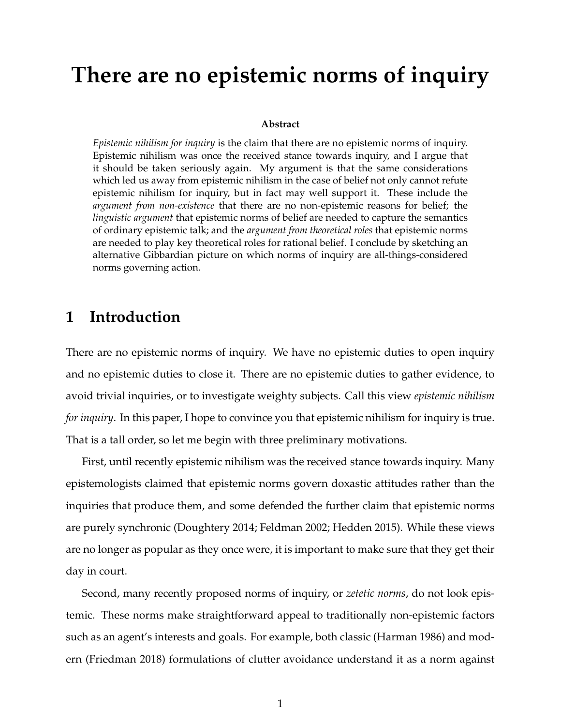# **There are no epistemic norms of inquiry**

#### **Abstract**

*Epistemic nihilism for inquiry* is the claim that there are no epistemic norms of inquiry. Epistemic nihilism was once the received stance towards inquiry, and I argue that it should be taken seriously again. My argument is that the same considerations which led us away from epistemic nihilism in the case of belief not only cannot refute epistemic nihilism for inquiry, but in fact may well support it. These include the *argument from non-existence* that there are no non-epistemic reasons for belief; the *linguistic argument* that epistemic norms of belief are needed to capture the semantics of ordinary epistemic talk; and the *argument from theoretical roles* that epistemic norms are needed to play key theoretical roles for rational belief. I conclude by sketching an alternative Gibbardian picture on which norms of inquiry are all-things-considered norms governing action.

## **1 Introduction**

There are no epistemic norms of inquiry. We have no epistemic duties to open inquiry and no epistemic duties to close it. There are no epistemic duties to gather evidence, to avoid trivial inquiries, or to investigate weighty subjects. Call this view *epistemic nihilism for inquiry*. In this paper, I hope to convince you that epistemic nihilism for inquiry is true. That is a tall order, so let me begin with three preliminary motivations.

First, until recently epistemic nihilism was the received stance towards inquiry. Many epistemologists claimed that epistemic norms govern doxastic attitudes rather than the inquiries that produce them, and some defended the further claim that epistemic norms are purely synchronic (Doughtery 2014; Feldman 2002; Hedden 2015). While these views are no longer as popular as they once were, it is important to make sure that they get their day in court.

Second, many recently proposed norms of inquiry, or *zetetic norms*, do not look epistemic. These norms make straightforward appeal to traditionally non-epistemic factors such as an agent's interests and goals. For example, both classic (Harman 1986) and modern (Friedman 2018) formulations of clutter avoidance understand it as a norm against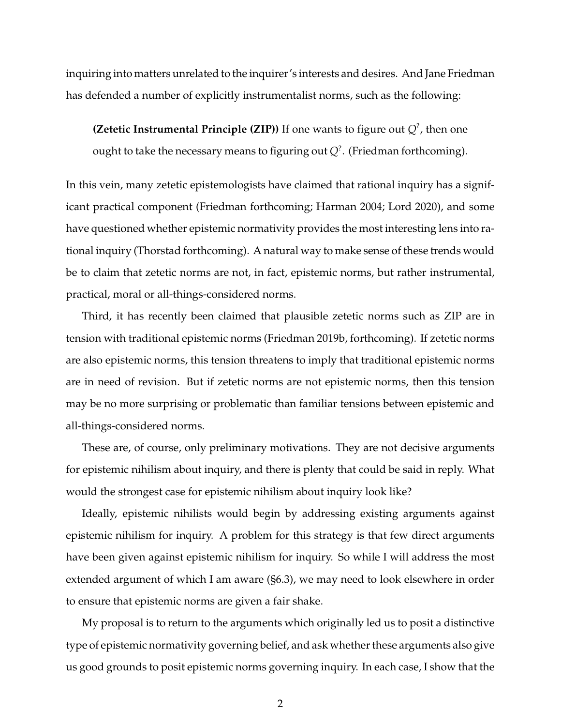inquiring into matters unrelated to the inquirer's interests and desires. And Jane Friedman has defended a number of explicitly instrumentalist norms, such as the following:

**(Zetetic Instrumental Principle (ZIP))** If one wants to figure out *Q*? , then one ought to take the necessary means to figuring out  $Q^?$  . (Friedman forthcoming).

In this vein, many zetetic epistemologists have claimed that rational inquiry has a significant practical component (Friedman forthcoming; Harman 2004; Lord 2020), and some have questioned whether epistemic normativity provides the most interesting lens into rational inquiry (Thorstad forthcoming). A natural way to make sense of these trends would be to claim that zetetic norms are not, in fact, epistemic norms, but rather instrumental, practical, moral or all-things-considered norms.

Third, it has recently been claimed that plausible zetetic norms such as ZIP are in tension with traditional epistemic norms (Friedman 2019b, forthcoming). If zetetic norms are also epistemic norms, this tension threatens to imply that traditional epistemic norms are in need of revision. But if zetetic norms are not epistemic norms, then this tension may be no more surprising or problematic than familiar tensions between epistemic and all-things-considered norms.

These are, of course, only preliminary motivations. They are not decisive arguments for epistemic nihilism about inquiry, and there is plenty that could be said in reply. What would the strongest case for epistemic nihilism about inquiry look like?

Ideally, epistemic nihilists would begin by addressing existing arguments against epistemic nihilism for inquiry. A problem for this strategy is that few direct arguments have been given against epistemic nihilism for inquiry. So while I will address the most extended argument of which I am aware (§6.3), we may need to look elsewhere in order to ensure that epistemic norms are given a fair shake.

My proposal is to return to the arguments which originally led us to posit a distinctive type of epistemic normativity governing belief, and ask whether these arguments also give us good grounds to posit epistemic norms governing inquiry. In each case, I show that the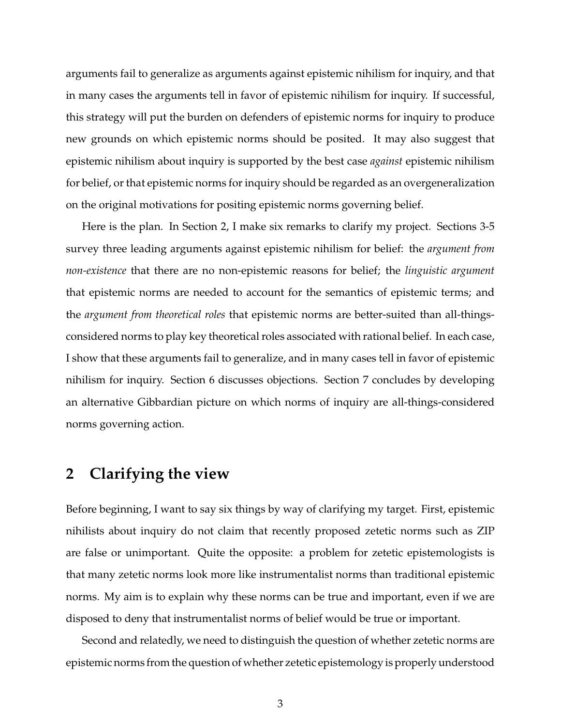arguments fail to generalize as arguments against epistemic nihilism for inquiry, and that in many cases the arguments tell in favor of epistemic nihilism for inquiry. If successful, this strategy will put the burden on defenders of epistemic norms for inquiry to produce new grounds on which epistemic norms should be posited. It may also suggest that epistemic nihilism about inquiry is supported by the best case *against* epistemic nihilism for belief, or that epistemic norms for inquiry should be regarded as an overgeneralization on the original motivations for positing epistemic norms governing belief.

Here is the plan. In Section 2, I make six remarks to clarify my project. Sections 3-5 survey three leading arguments against epistemic nihilism for belief: the *argument from non-existence* that there are no non-epistemic reasons for belief; the *linguistic argument* that epistemic norms are needed to account for the semantics of epistemic terms; and the *argument from theoretical roles* that epistemic norms are better-suited than all-thingsconsidered norms to play key theoretical roles associated with rational belief. In each case, I show that these arguments fail to generalize, and in many cases tell in favor of epistemic nihilism for inquiry. Section 6 discusses objections. Section 7 concludes by developing an alternative Gibbardian picture on which norms of inquiry are all-things-considered norms governing action.

## **2 Clarifying the view**

Before beginning, I want to say six things by way of clarifying my target. First, epistemic nihilists about inquiry do not claim that recently proposed zetetic norms such as ZIP are false or unimportant. Quite the opposite: a problem for zetetic epistemologists is that many zetetic norms look more like instrumentalist norms than traditional epistemic norms. My aim is to explain why these norms can be true and important, even if we are disposed to deny that instrumentalist norms of belief would be true or important.

Second and relatedly, we need to distinguish the question of whether zetetic norms are epistemic norms from the question of whether zetetic epistemology is properly understood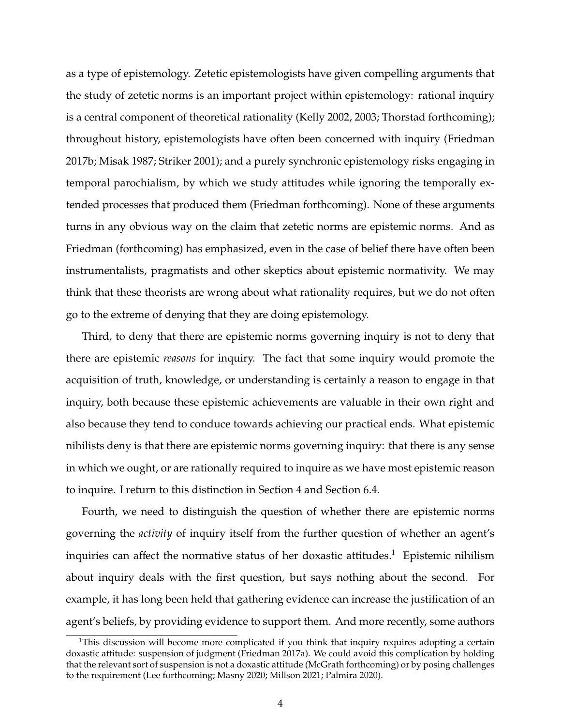as a type of epistemology. Zetetic epistemologists have given compelling arguments that the study of zetetic norms is an important project within epistemology: rational inquiry is a central component of theoretical rationality (Kelly 2002, 2003; Thorstad forthcoming); throughout history, epistemologists have often been concerned with inquiry (Friedman 2017b; Misak 1987; Striker 2001); and a purely synchronic epistemology risks engaging in temporal parochialism, by which we study attitudes while ignoring the temporally extended processes that produced them (Friedman forthcoming). None of these arguments turns in any obvious way on the claim that zetetic norms are epistemic norms. And as Friedman (forthcoming) has emphasized, even in the case of belief there have often been instrumentalists, pragmatists and other skeptics about epistemic normativity. We may think that these theorists are wrong about what rationality requires, but we do not often go to the extreme of denying that they are doing epistemology.

Third, to deny that there are epistemic norms governing inquiry is not to deny that there are epistemic *reasons* for inquiry. The fact that some inquiry would promote the acquisition of truth, knowledge, or understanding is certainly a reason to engage in that inquiry, both because these epistemic achievements are valuable in their own right and also because they tend to conduce towards achieving our practical ends. What epistemic nihilists deny is that there are epistemic norms governing inquiry: that there is any sense in which we ought, or are rationally required to inquire as we have most epistemic reason to inquire. I return to this distinction in Section 4 and Section 6.4.

Fourth, we need to distinguish the question of whether there are epistemic norms governing the *activity* of inquiry itself from the further question of whether an agent's inquiries can affect the normative status of her doxastic attitudes.<sup>1</sup> Epistemic nihilism about inquiry deals with the first question, but says nothing about the second. For example, it has long been held that gathering evidence can increase the justification of an agent's beliefs, by providing evidence to support them. And more recently, some authors

<sup>&</sup>lt;sup>1</sup>This discussion will become more complicated if you think that inquiry requires adopting a certain doxastic attitude: suspension of judgment (Friedman 2017a). We could avoid this complication by holding that the relevant sort of suspension is not a doxastic attitude (McGrath forthcoming) or by posing challenges to the requirement (Lee forthcoming; Masny 2020; Millson 2021; Palmira 2020).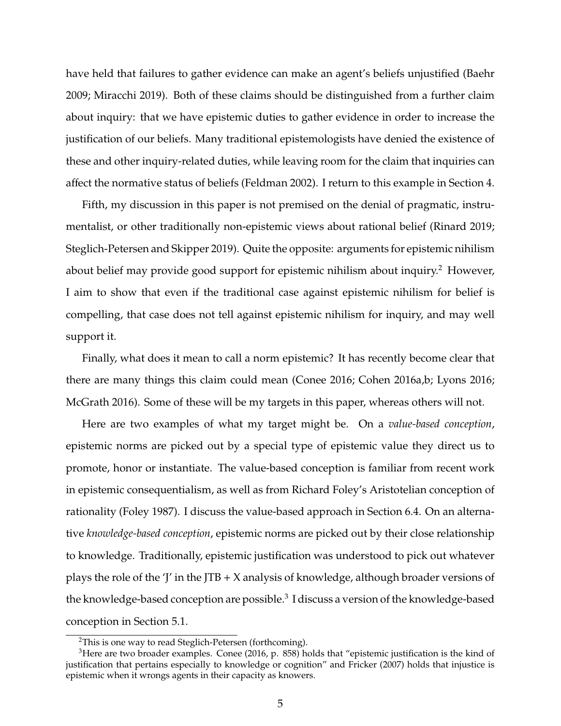have held that failures to gather evidence can make an agent's beliefs unjustified (Baehr 2009; Miracchi 2019). Both of these claims should be distinguished from a further claim about inquiry: that we have epistemic duties to gather evidence in order to increase the justification of our beliefs. Many traditional epistemologists have denied the existence of these and other inquiry-related duties, while leaving room for the claim that inquiries can affect the normative status of beliefs (Feldman 2002). I return to this example in Section 4.

Fifth, my discussion in this paper is not premised on the denial of pragmatic, instrumentalist, or other traditionally non-epistemic views about rational belief (Rinard 2019; Steglich-Petersen and Skipper 2019). Quite the opposite: arguments for epistemic nihilism about belief may provide good support for epistemic nihilism about inquiry.<sup>2</sup> However, I aim to show that even if the traditional case against epistemic nihilism for belief is compelling, that case does not tell against epistemic nihilism for inquiry, and may well support it.

Finally, what does it mean to call a norm epistemic? It has recently become clear that there are many things this claim could mean (Conee 2016; Cohen 2016a,b; Lyons 2016; McGrath 2016). Some of these will be my targets in this paper, whereas others will not.

Here are two examples of what my target might be. On a *value-based conception*, epistemic norms are picked out by a special type of epistemic value they direct us to promote, honor or instantiate. The value-based conception is familiar from recent work in epistemic consequentialism, as well as from Richard Foley's Aristotelian conception of rationality (Foley 1987). I discuss the value-based approach in Section 6.4. On an alternative *knowledge-based conception*, epistemic norms are picked out by their close relationship to knowledge. Traditionally, epistemic justification was understood to pick out whatever plays the role of the 'J' in the JTB  $+$  X analysis of knowledge, although broader versions of the knowledge-based conception are possible. $^3$  I discuss a version of the knowledge-based conception in Section 5.1.

<sup>&</sup>lt;sup>2</sup>This is one way to read Steglich-Petersen (forthcoming).

 $3$ Here are two broader examples. Conee (2016, p. 858) holds that "epistemic justification is the kind of justification that pertains especially to knowledge or cognition" and Fricker (2007) holds that injustice is epistemic when it wrongs agents in their capacity as knowers.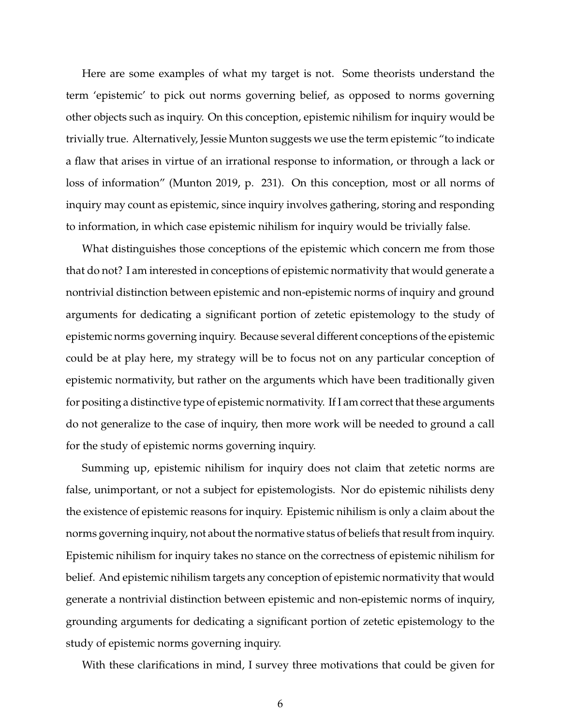Here are some examples of what my target is not. Some theorists understand the term 'epistemic' to pick out norms governing belief, as opposed to norms governing other objects such as inquiry. On this conception, epistemic nihilism for inquiry would be trivially true. Alternatively, Jessie Munton suggests we use the term epistemic "to indicate a flaw that arises in virtue of an irrational response to information, or through a lack or loss of information" (Munton 2019, p. 231). On this conception, most or all norms of inquiry may count as epistemic, since inquiry involves gathering, storing and responding to information, in which case epistemic nihilism for inquiry would be trivially false.

What distinguishes those conceptions of the epistemic which concern me from those that do not? I am interested in conceptions of epistemic normativity that would generate a nontrivial distinction between epistemic and non-epistemic norms of inquiry and ground arguments for dedicating a significant portion of zetetic epistemology to the study of epistemic norms governing inquiry. Because several different conceptions of the epistemic could be at play here, my strategy will be to focus not on any particular conception of epistemic normativity, but rather on the arguments which have been traditionally given for positing a distinctive type of epistemic normativity. If I am correct that these arguments do not generalize to the case of inquiry, then more work will be needed to ground a call for the study of epistemic norms governing inquiry.

Summing up, epistemic nihilism for inquiry does not claim that zetetic norms are false, unimportant, or not a subject for epistemologists. Nor do epistemic nihilists deny the existence of epistemic reasons for inquiry. Epistemic nihilism is only a claim about the norms governing inquiry, not about the normative status of beliefs that result from inquiry. Epistemic nihilism for inquiry takes no stance on the correctness of epistemic nihilism for belief. And epistemic nihilism targets any conception of epistemic normativity that would generate a nontrivial distinction between epistemic and non-epistemic norms of inquiry, grounding arguments for dedicating a significant portion of zetetic epistemology to the study of epistemic norms governing inquiry.

With these clarifications in mind, I survey three motivations that could be given for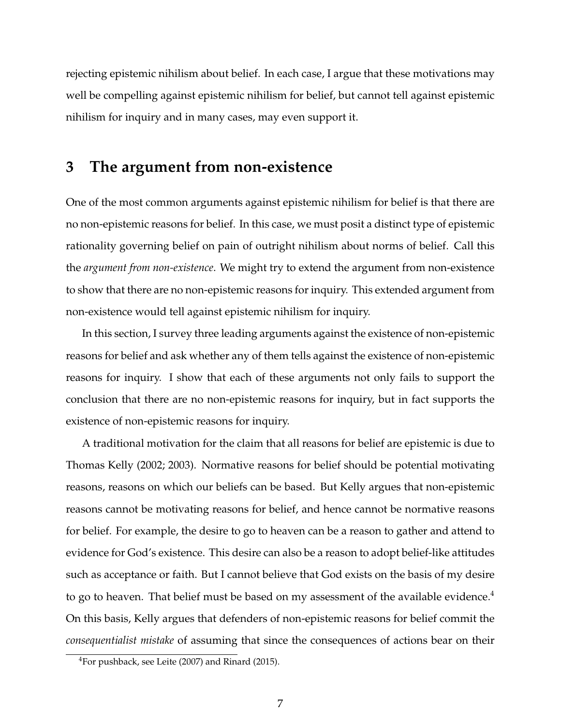rejecting epistemic nihilism about belief. In each case, I argue that these motivations may well be compelling against epistemic nihilism for belief, but cannot tell against epistemic nihilism for inquiry and in many cases, may even support it.

## **3 The argument from non-existence**

One of the most common arguments against epistemic nihilism for belief is that there are no non-epistemic reasons for belief. In this case, we must posit a distinct type of epistemic rationality governing belief on pain of outright nihilism about norms of belief. Call this the *argument from non-existence*. We might try to extend the argument from non-existence to show that there are no non-epistemic reasons for inquiry. This extended argument from non-existence would tell against epistemic nihilism for inquiry.

In this section, I survey three leading arguments against the existence of non-epistemic reasons for belief and ask whether any of them tells against the existence of non-epistemic reasons for inquiry. I show that each of these arguments not only fails to support the conclusion that there are no non-epistemic reasons for inquiry, but in fact supports the existence of non-epistemic reasons for inquiry.

A traditional motivation for the claim that all reasons for belief are epistemic is due to Thomas Kelly (2002; 2003). Normative reasons for belief should be potential motivating reasons, reasons on which our beliefs can be based. But Kelly argues that non-epistemic reasons cannot be motivating reasons for belief, and hence cannot be normative reasons for belief. For example, the desire to go to heaven can be a reason to gather and attend to evidence for God's existence. This desire can also be a reason to adopt belief-like attitudes such as acceptance or faith. But I cannot believe that God exists on the basis of my desire to go to heaven. That belief must be based on my assessment of the available evidence.<sup>4</sup> On this basis, Kelly argues that defenders of non-epistemic reasons for belief commit the *consequentialist mistake* of assuming that since the consequences of actions bear on their

<sup>4</sup>For pushback, see Leite (2007) and Rinard (2015).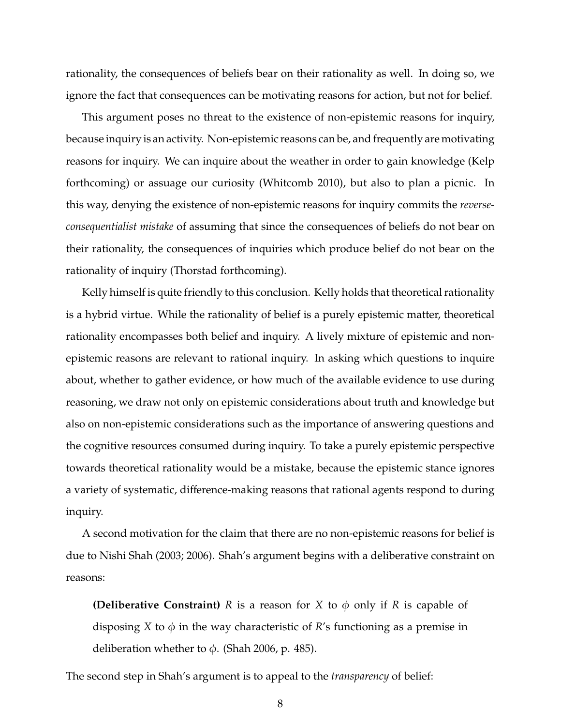rationality, the consequences of beliefs bear on their rationality as well. In doing so, we ignore the fact that consequences can be motivating reasons for action, but not for belief.

This argument poses no threat to the existence of non-epistemic reasons for inquiry, because inquiry is an activity. Non-epistemic reasons can be, and frequently are motivating reasons for inquiry. We can inquire about the weather in order to gain knowledge (Kelp forthcoming) or assuage our curiosity (Whitcomb 2010), but also to plan a picnic. In this way, denying the existence of non-epistemic reasons for inquiry commits the *reverseconsequentialist mistake* of assuming that since the consequences of beliefs do not bear on their rationality, the consequences of inquiries which produce belief do not bear on the rationality of inquiry (Thorstad forthcoming).

Kelly himself is quite friendly to this conclusion. Kelly holds that theoretical rationality is a hybrid virtue. While the rationality of belief is a purely epistemic matter, theoretical rationality encompasses both belief and inquiry. A lively mixture of epistemic and nonepistemic reasons are relevant to rational inquiry. In asking which questions to inquire about, whether to gather evidence, or how much of the available evidence to use during reasoning, we draw not only on epistemic considerations about truth and knowledge but also on non-epistemic considerations such as the importance of answering questions and the cognitive resources consumed during inquiry. To take a purely epistemic perspective towards theoretical rationality would be a mistake, because the epistemic stance ignores a variety of systematic, difference-making reasons that rational agents respond to during inquiry.

A second motivation for the claim that there are no non-epistemic reasons for belief is due to Nishi Shah (2003; 2006). Shah's argument begins with a deliberative constraint on reasons:

**(Deliberative Constraint)** *R* is a reason for *X* to  $\phi$  only if *R* is capable of disposing *X* to  $\phi$  in the way characteristic of *R*'s functioning as a premise in deliberation whether to  $\phi$ . (Shah 2006, p. 485).

The second step in Shah's argument is to appeal to the *transparency* of belief:

8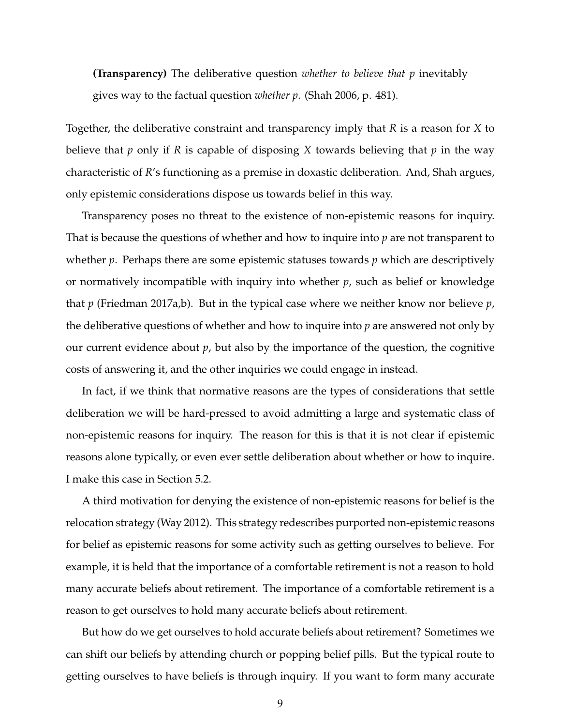**(Transparency)** The deliberative question *whether to believe that p* inevitably gives way to the factual question *whether p*. (Shah 2006, p. 481).

Together, the deliberative constraint and transparency imply that *R* is a reason for *X* to believe that *p* only if *R* is capable of disposing *X* towards believing that *p* in the way characteristic of *R*'s functioning as a premise in doxastic deliberation. And, Shah argues, only epistemic considerations dispose us towards belief in this way.

Transparency poses no threat to the existence of non-epistemic reasons for inquiry. That is because the questions of whether and how to inquire into *p* are not transparent to whether *p*. Perhaps there are some epistemic statuses towards *p* which are descriptively or normatively incompatible with inquiry into whether *p*, such as belief or knowledge that *p* (Friedman 2017a,b). But in the typical case where we neither know nor believe *p*, the deliberative questions of whether and how to inquire into *p* are answered not only by our current evidence about *p*, but also by the importance of the question, the cognitive costs of answering it, and the other inquiries we could engage in instead.

In fact, if we think that normative reasons are the types of considerations that settle deliberation we will be hard-pressed to avoid admitting a large and systematic class of non-epistemic reasons for inquiry. The reason for this is that it is not clear if epistemic reasons alone typically, or even ever settle deliberation about whether or how to inquire. I make this case in Section 5.2.

A third motivation for denying the existence of non-epistemic reasons for belief is the relocation strategy (Way 2012). This strategy redescribes purported non-epistemic reasons for belief as epistemic reasons for some activity such as getting ourselves to believe. For example, it is held that the importance of a comfortable retirement is not a reason to hold many accurate beliefs about retirement. The importance of a comfortable retirement is a reason to get ourselves to hold many accurate beliefs about retirement.

But how do we get ourselves to hold accurate beliefs about retirement? Sometimes we can shift our beliefs by attending church or popping belief pills. But the typical route to getting ourselves to have beliefs is through inquiry. If you want to form many accurate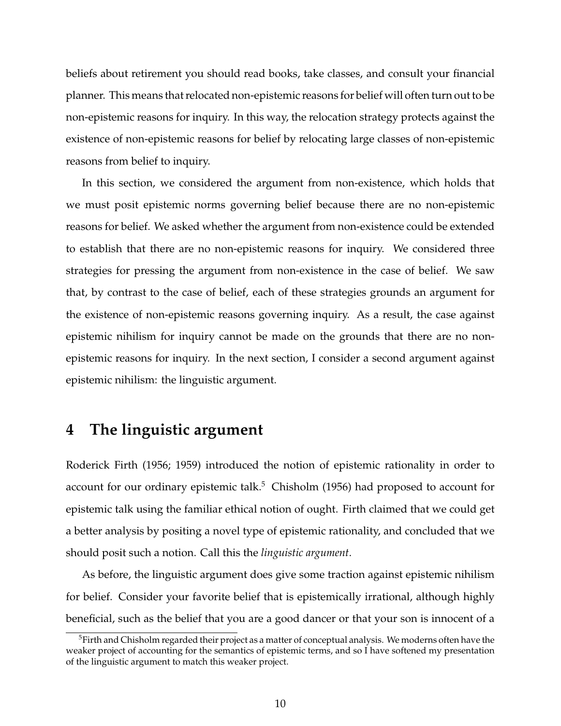beliefs about retirement you should read books, take classes, and consult your financial planner. This means that relocated non-epistemic reasons for belief will often turn out to be non-epistemic reasons for inquiry. In this way, the relocation strategy protects against the existence of non-epistemic reasons for belief by relocating large classes of non-epistemic reasons from belief to inquiry.

In this section, we considered the argument from non-existence, which holds that we must posit epistemic norms governing belief because there are no non-epistemic reasons for belief. We asked whether the argument from non-existence could be extended to establish that there are no non-epistemic reasons for inquiry. We considered three strategies for pressing the argument from non-existence in the case of belief. We saw that, by contrast to the case of belief, each of these strategies grounds an argument for the existence of non-epistemic reasons governing inquiry. As a result, the case against epistemic nihilism for inquiry cannot be made on the grounds that there are no nonepistemic reasons for inquiry. In the next section, I consider a second argument against epistemic nihilism: the linguistic argument.

## **4 The linguistic argument**

Roderick Firth (1956; 1959) introduced the notion of epistemic rationality in order to account for our ordinary epistemic talk.<sup>5</sup> Chisholm (1956) had proposed to account for epistemic talk using the familiar ethical notion of ought. Firth claimed that we could get a better analysis by positing a novel type of epistemic rationality, and concluded that we should posit such a notion. Call this the *linguistic argument*.

As before, the linguistic argument does give some traction against epistemic nihilism for belief. Consider your favorite belief that is epistemically irrational, although highly beneficial, such as the belief that you are a good dancer or that your son is innocent of a

<sup>&</sup>lt;sup>5</sup>Firth and Chisholm regarded their project as a matter of conceptual analysis. We moderns often have the weaker project of accounting for the semantics of epistemic terms, and so I have softened my presentation of the linguistic argument to match this weaker project.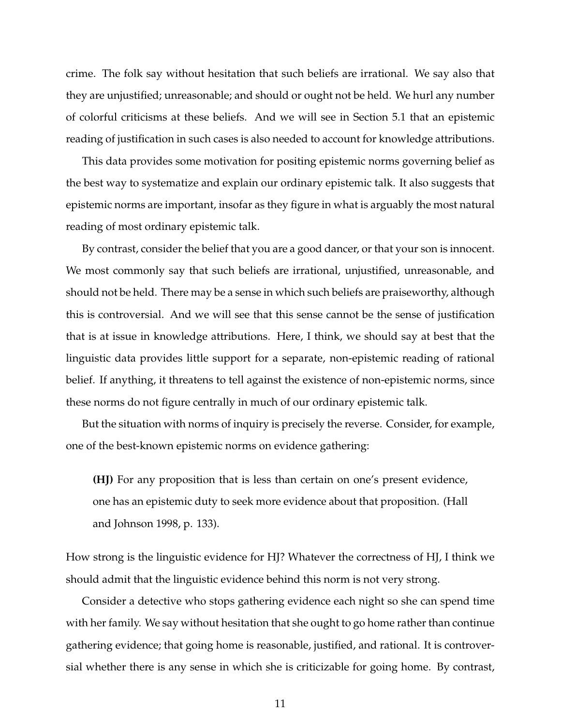crime. The folk say without hesitation that such beliefs are irrational. We say also that they are unjustified; unreasonable; and should or ought not be held. We hurl any number of colorful criticisms at these beliefs. And we will see in Section 5.1 that an epistemic reading of justification in such cases is also needed to account for knowledge attributions.

This data provides some motivation for positing epistemic norms governing belief as the best way to systematize and explain our ordinary epistemic talk. It also suggests that epistemic norms are important, insofar as they figure in what is arguably the most natural reading of most ordinary epistemic talk.

By contrast, consider the belief that you are a good dancer, or that your son is innocent. We most commonly say that such beliefs are irrational, unjustified, unreasonable, and should not be held. There may be a sense in which such beliefs are praiseworthy, although this is controversial. And we will see that this sense cannot be the sense of justification that is at issue in knowledge attributions. Here, I think, we should say at best that the linguistic data provides little support for a separate, non-epistemic reading of rational belief. If anything, it threatens to tell against the existence of non-epistemic norms, since these norms do not figure centrally in much of our ordinary epistemic talk.

But the situation with norms of inquiry is precisely the reverse. Consider, for example, one of the best-known epistemic norms on evidence gathering:

**(HJ)** For any proposition that is less than certain on one's present evidence, one has an epistemic duty to seek more evidence about that proposition. (Hall and Johnson 1998, p. 133).

How strong is the linguistic evidence for HJ? Whatever the correctness of HJ, I think we should admit that the linguistic evidence behind this norm is not very strong.

Consider a detective who stops gathering evidence each night so she can spend time with her family. We say without hesitation that she ought to go home rather than continue gathering evidence; that going home is reasonable, justified, and rational. It is controversial whether there is any sense in which she is criticizable for going home. By contrast,

11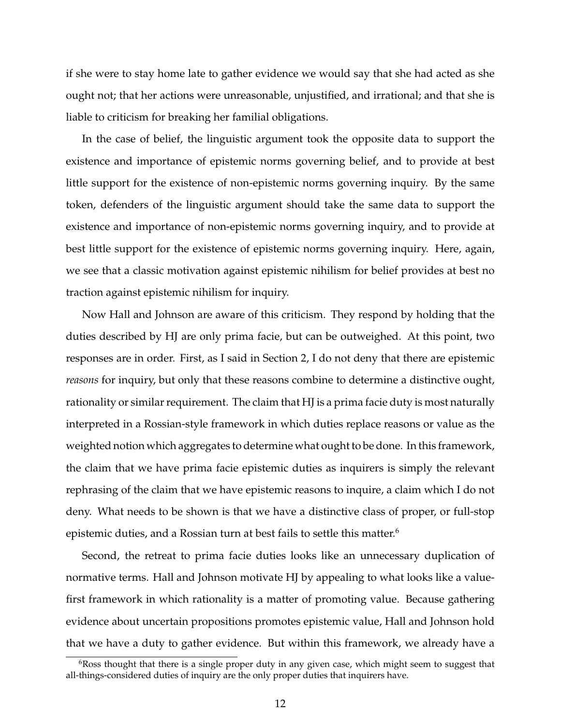if she were to stay home late to gather evidence we would say that she had acted as she ought not; that her actions were unreasonable, unjustified, and irrational; and that she is liable to criticism for breaking her familial obligations.

In the case of belief, the linguistic argument took the opposite data to support the existence and importance of epistemic norms governing belief, and to provide at best little support for the existence of non-epistemic norms governing inquiry. By the same token, defenders of the linguistic argument should take the same data to support the existence and importance of non-epistemic norms governing inquiry, and to provide at best little support for the existence of epistemic norms governing inquiry. Here, again, we see that a classic motivation against epistemic nihilism for belief provides at best no traction against epistemic nihilism for inquiry.

Now Hall and Johnson are aware of this criticism. They respond by holding that the duties described by HJ are only prima facie, but can be outweighed. At this point, two responses are in order. First, as I said in Section 2, I do not deny that there are epistemic *reasons* for inquiry, but only that these reasons combine to determine a distinctive ought, rationality or similar requirement. The claim that HJ is a prima facie duty is most naturally interpreted in a Rossian-style framework in which duties replace reasons or value as the weighted notion which aggregates to determine what ought to be done. In this framework, the claim that we have prima facie epistemic duties as inquirers is simply the relevant rephrasing of the claim that we have epistemic reasons to inquire, a claim which I do not deny. What needs to be shown is that we have a distinctive class of proper, or full-stop epistemic duties, and a Rossian turn at best fails to settle this matter.<sup>6</sup>

Second, the retreat to prima facie duties looks like an unnecessary duplication of normative terms. Hall and Johnson motivate HJ by appealing to what looks like a valuefirst framework in which rationality is a matter of promoting value. Because gathering evidence about uncertain propositions promotes epistemic value, Hall and Johnson hold that we have a duty to gather evidence. But within this framework, we already have a

 $6R$ oss thought that there is a single proper duty in any given case, which might seem to suggest that all-things-considered duties of inquiry are the only proper duties that inquirers have.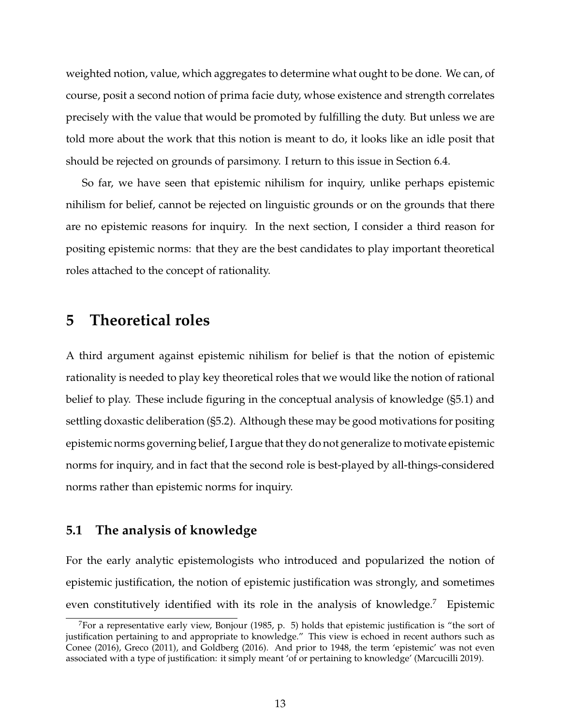weighted notion, value, which aggregates to determine what ought to be done. We can, of course, posit a second notion of prima facie duty, whose existence and strength correlates precisely with the value that would be promoted by fulfilling the duty. But unless we are told more about the work that this notion is meant to do, it looks like an idle posit that should be rejected on grounds of parsimony. I return to this issue in Section 6.4.

So far, we have seen that epistemic nihilism for inquiry, unlike perhaps epistemic nihilism for belief, cannot be rejected on linguistic grounds or on the grounds that there are no epistemic reasons for inquiry. In the next section, I consider a third reason for positing epistemic norms: that they are the best candidates to play important theoretical roles attached to the concept of rationality.

## **5 Theoretical roles**

A third argument against epistemic nihilism for belief is that the notion of epistemic rationality is needed to play key theoretical roles that we would like the notion of rational belief to play. These include figuring in the conceptual analysis of knowledge (§5.1) and settling doxastic deliberation (§5.2). Although these may be good motivations for positing epistemic norms governing belief, I argue that they do not generalize to motivate epistemic norms for inquiry, and in fact that the second role is best-played by all-things-considered norms rather than epistemic norms for inquiry.

#### **5.1 The analysis of knowledge**

For the early analytic epistemologists who introduced and popularized the notion of epistemic justification, the notion of epistemic justification was strongly, and sometimes even constitutively identified with its role in the analysis of knowledge.<sup>7</sup> Epistemic

<sup>&</sup>lt;sup>7</sup>For a representative early view, Bonjour (1985, p. 5) holds that epistemic justification is "the sort of justification pertaining to and appropriate to knowledge." This view is echoed in recent authors such as Conee (2016), Greco (2011), and Goldberg (2016). And prior to 1948, the term 'epistemic' was not even associated with a type of justification: it simply meant 'of or pertaining to knowledge' (Marcucilli 2019).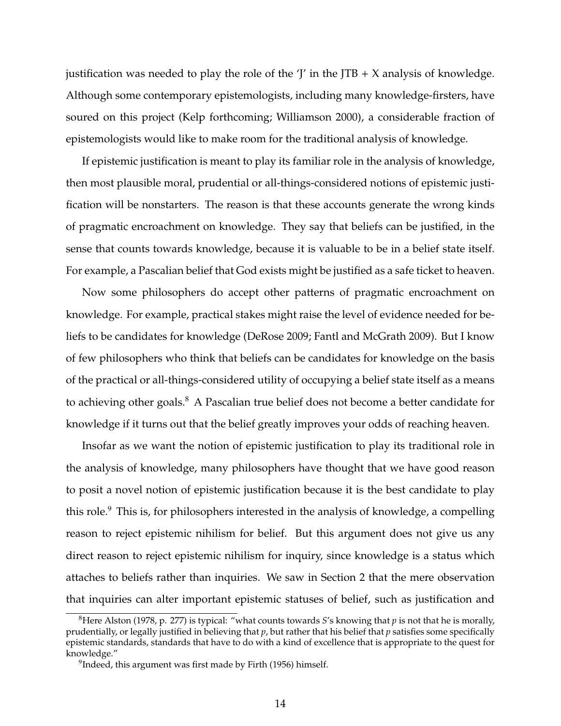justification was needed to play the role of the  $\mathcal{I}'$  in the JTB + X analysis of knowledge. Although some contemporary epistemologists, including many knowledge-firsters, have soured on this project (Kelp forthcoming; Williamson 2000), a considerable fraction of epistemologists would like to make room for the traditional analysis of knowledge.

If epistemic justification is meant to play its familiar role in the analysis of knowledge, then most plausible moral, prudential or all-things-considered notions of epistemic justification will be nonstarters. The reason is that these accounts generate the wrong kinds of pragmatic encroachment on knowledge. They say that beliefs can be justified, in the sense that counts towards knowledge, because it is valuable to be in a belief state itself. For example, a Pascalian belief that God exists might be justified as a safe ticket to heaven.

Now some philosophers do accept other patterns of pragmatic encroachment on knowledge. For example, practical stakes might raise the level of evidence needed for beliefs to be candidates for knowledge (DeRose 2009; Fantl and McGrath 2009). But I know of few philosophers who think that beliefs can be candidates for knowledge on the basis of the practical or all-things-considered utility of occupying a belief state itself as a means to achieving other goals.<sup>8</sup> A Pascalian true belief does not become a better candidate for knowledge if it turns out that the belief greatly improves your odds of reaching heaven.

Insofar as we want the notion of epistemic justification to play its traditional role in the analysis of knowledge, many philosophers have thought that we have good reason to posit a novel notion of epistemic justification because it is the best candidate to play this role.<sup>9</sup> This is, for philosophers interested in the analysis of knowledge, a compelling reason to reject epistemic nihilism for belief. But this argument does not give us any direct reason to reject epistemic nihilism for inquiry, since knowledge is a status which attaches to beliefs rather than inquiries. We saw in Section 2 that the mere observation that inquiries can alter important epistemic statuses of belief, such as justification and

<sup>8</sup>Here Alston (1978, p. 277) is typical: "what counts towards *S*'s knowing that *p* is not that he is morally, prudentially, or legally justified in believing that *p*, but rather that his belief that *p* satisfies some specifically epistemic standards, standards that have to do with a kind of excellence that is appropriate to the quest for knowledge."

 $^9$ Indeed, this argument was first made by Firth (1956) himself.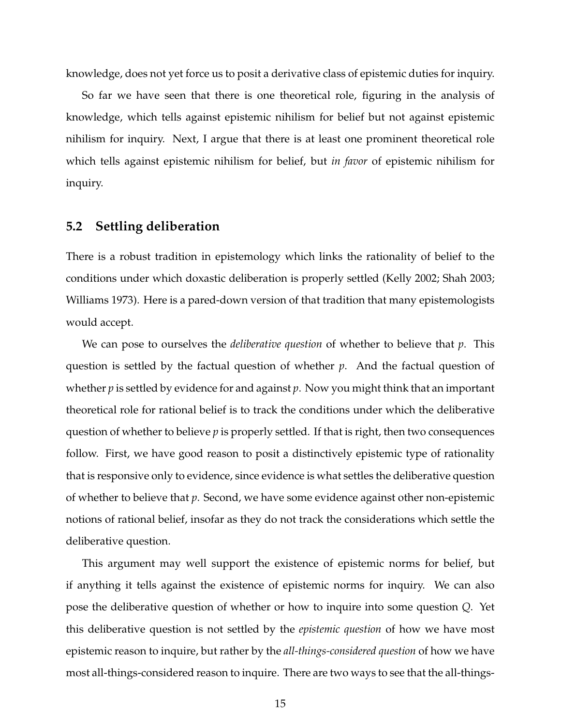knowledge, does not yet force us to posit a derivative class of epistemic duties for inquiry.

So far we have seen that there is one theoretical role, figuring in the analysis of knowledge, which tells against epistemic nihilism for belief but not against epistemic nihilism for inquiry. Next, I argue that there is at least one prominent theoretical role which tells against epistemic nihilism for belief, but *in favor* of epistemic nihilism for inquiry.

#### **5.2 Settling deliberation**

There is a robust tradition in epistemology which links the rationality of belief to the conditions under which doxastic deliberation is properly settled (Kelly 2002; Shah 2003; Williams 1973). Here is a pared-down version of that tradition that many epistemologists would accept.

We can pose to ourselves the *deliberative question* of whether to believe that *p*. This question is settled by the factual question of whether *p*. And the factual question of whether *p* is settled by evidence for and against *p*. Now you might think that an important theoretical role for rational belief is to track the conditions under which the deliberative question of whether to believe *p* is properly settled. If that is right, then two consequences follow. First, we have good reason to posit a distinctively epistemic type of rationality that is responsive only to evidence, since evidence is what settles the deliberative question of whether to believe that *p*. Second, we have some evidence against other non-epistemic notions of rational belief, insofar as they do not track the considerations which settle the deliberative question.

This argument may well support the existence of epistemic norms for belief, but if anything it tells against the existence of epistemic norms for inquiry. We can also pose the deliberative question of whether or how to inquire into some question *Q*. Yet this deliberative question is not settled by the *epistemic question* of how we have most epistemic reason to inquire, but rather by the *all-things-considered question* of how we have most all-things-considered reason to inquire. There are two ways to see that the all-things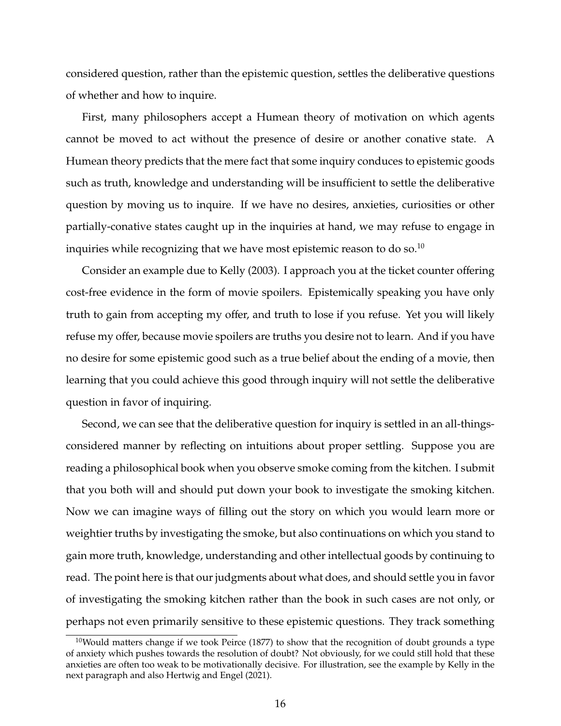considered question, rather than the epistemic question, settles the deliberative questions of whether and how to inquire.

First, many philosophers accept a Humean theory of motivation on which agents cannot be moved to act without the presence of desire or another conative state. A Humean theory predicts that the mere fact that some inquiry conduces to epistemic goods such as truth, knowledge and understanding will be insufficient to settle the deliberative question by moving us to inquire. If we have no desires, anxieties, curiosities or other partially-conative states caught up in the inquiries at hand, we may refuse to engage in inquiries while recognizing that we have most epistemic reason to do so.<sup>10</sup>

Consider an example due to Kelly (2003). I approach you at the ticket counter offering cost-free evidence in the form of movie spoilers. Epistemically speaking you have only truth to gain from accepting my offer, and truth to lose if you refuse. Yet you will likely refuse my offer, because movie spoilers are truths you desire not to learn. And if you have no desire for some epistemic good such as a true belief about the ending of a movie, then learning that you could achieve this good through inquiry will not settle the deliberative question in favor of inquiring.

Second, we can see that the deliberative question for inquiry is settled in an all-thingsconsidered manner by reflecting on intuitions about proper settling. Suppose you are reading a philosophical book when you observe smoke coming from the kitchen. I submit that you both will and should put down your book to investigate the smoking kitchen. Now we can imagine ways of filling out the story on which you would learn more or weightier truths by investigating the smoke, but also continuations on which you stand to gain more truth, knowledge, understanding and other intellectual goods by continuing to read. The point here is that our judgments about what does, and should settle you in favor of investigating the smoking kitchen rather than the book in such cases are not only, or perhaps not even primarily sensitive to these epistemic questions. They track something

 $10$ Would matters change if we took Peirce (1877) to show that the recognition of doubt grounds a type of anxiety which pushes towards the resolution of doubt? Not obviously, for we could still hold that these anxieties are often too weak to be motivationally decisive. For illustration, see the example by Kelly in the next paragraph and also Hertwig and Engel (2021).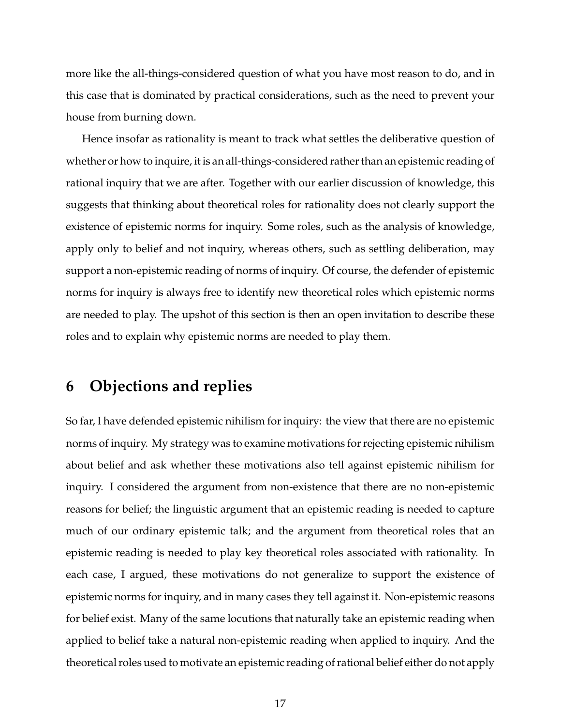more like the all-things-considered question of what you have most reason to do, and in this case that is dominated by practical considerations, such as the need to prevent your house from burning down.

Hence insofar as rationality is meant to track what settles the deliberative question of whether or how to inquire, it is an all-things-considered rather than an epistemic reading of rational inquiry that we are after. Together with our earlier discussion of knowledge, this suggests that thinking about theoretical roles for rationality does not clearly support the existence of epistemic norms for inquiry. Some roles, such as the analysis of knowledge, apply only to belief and not inquiry, whereas others, such as settling deliberation, may support a non-epistemic reading of norms of inquiry. Of course, the defender of epistemic norms for inquiry is always free to identify new theoretical roles which epistemic norms are needed to play. The upshot of this section is then an open invitation to describe these roles and to explain why epistemic norms are needed to play them.

## **6 Objections and replies**

So far, I have defended epistemic nihilism for inquiry: the view that there are no epistemic norms of inquiry. My strategy was to examine motivations for rejecting epistemic nihilism about belief and ask whether these motivations also tell against epistemic nihilism for inquiry. I considered the argument from non-existence that there are no non-epistemic reasons for belief; the linguistic argument that an epistemic reading is needed to capture much of our ordinary epistemic talk; and the argument from theoretical roles that an epistemic reading is needed to play key theoretical roles associated with rationality. In each case, I argued, these motivations do not generalize to support the existence of epistemic norms for inquiry, and in many cases they tell against it. Non-epistemic reasons for belief exist. Many of the same locutions that naturally take an epistemic reading when applied to belief take a natural non-epistemic reading when applied to inquiry. And the theoretical roles used to motivate an epistemic reading of rational belief either do not apply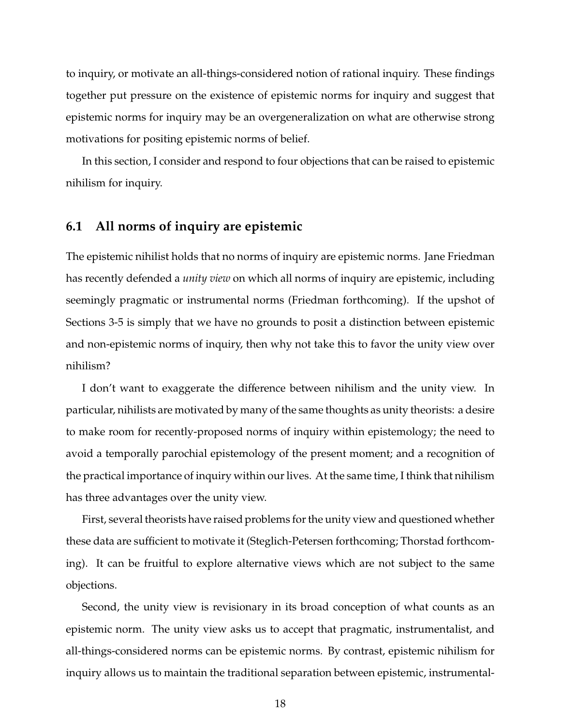to inquiry, or motivate an all-things-considered notion of rational inquiry. These findings together put pressure on the existence of epistemic norms for inquiry and suggest that epistemic norms for inquiry may be an overgeneralization on what are otherwise strong motivations for positing epistemic norms of belief.

In this section, I consider and respond to four objections that can be raised to epistemic nihilism for inquiry.

### **6.1 All norms of inquiry are epistemic**

The epistemic nihilist holds that no norms of inquiry are epistemic norms. Jane Friedman has recently defended a *unity view* on which all norms of inquiry are epistemic, including seemingly pragmatic or instrumental norms (Friedman forthcoming). If the upshot of Sections 3-5 is simply that we have no grounds to posit a distinction between epistemic and non-epistemic norms of inquiry, then why not take this to favor the unity view over nihilism?

I don't want to exaggerate the difference between nihilism and the unity view. In particular, nihilists are motivated by many of the same thoughts as unity theorists: a desire to make room for recently-proposed norms of inquiry within epistemology; the need to avoid a temporally parochial epistemology of the present moment; and a recognition of the practical importance of inquiry within our lives. At the same time, I think that nihilism has three advantages over the unity view.

First, several theorists have raised problems for the unity view and questioned whether these data are sufficient to motivate it (Steglich-Petersen forthcoming; Thorstad forthcoming). It can be fruitful to explore alternative views which are not subject to the same objections.

Second, the unity view is revisionary in its broad conception of what counts as an epistemic norm. The unity view asks us to accept that pragmatic, instrumentalist, and all-things-considered norms can be epistemic norms. By contrast, epistemic nihilism for inquiry allows us to maintain the traditional separation between epistemic, instrumental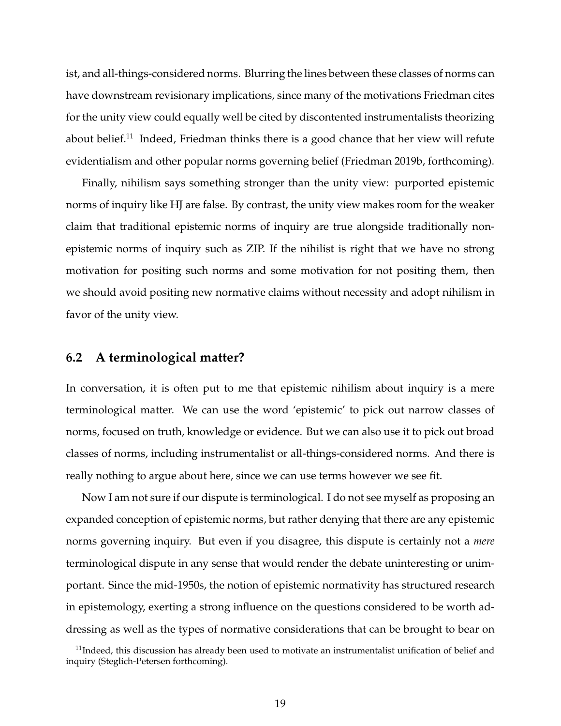ist, and all-things-considered norms. Blurring the lines between these classes of norms can have downstream revisionary implications, since many of the motivations Friedman cites for the unity view could equally well be cited by discontented instrumentalists theorizing about belief.<sup>11</sup> Indeed, Friedman thinks there is a good chance that her view will refute evidentialism and other popular norms governing belief (Friedman 2019b, forthcoming).

Finally, nihilism says something stronger than the unity view: purported epistemic norms of inquiry like HJ are false. By contrast, the unity view makes room for the weaker claim that traditional epistemic norms of inquiry are true alongside traditionally nonepistemic norms of inquiry such as ZIP. If the nihilist is right that we have no strong motivation for positing such norms and some motivation for not positing them, then we should avoid positing new normative claims without necessity and adopt nihilism in favor of the unity view.

## **6.2 A terminological matter?**

In conversation, it is often put to me that epistemic nihilism about inquiry is a mere terminological matter. We can use the word 'epistemic' to pick out narrow classes of norms, focused on truth, knowledge or evidence. But we can also use it to pick out broad classes of norms, including instrumentalist or all-things-considered norms. And there is really nothing to argue about here, since we can use terms however we see fit.

Now I am not sure if our dispute is terminological. I do not see myself as proposing an expanded conception of epistemic norms, but rather denying that there are any epistemic norms governing inquiry. But even if you disagree, this dispute is certainly not a *mere* terminological dispute in any sense that would render the debate uninteresting or unimportant. Since the mid-1950s, the notion of epistemic normativity has structured research in epistemology, exerting a strong influence on the questions considered to be worth addressing as well as the types of normative considerations that can be brought to bear on

 $11$ Indeed, this discussion has already been used to motivate an instrumentalist unification of belief and inquiry (Steglich-Petersen forthcoming).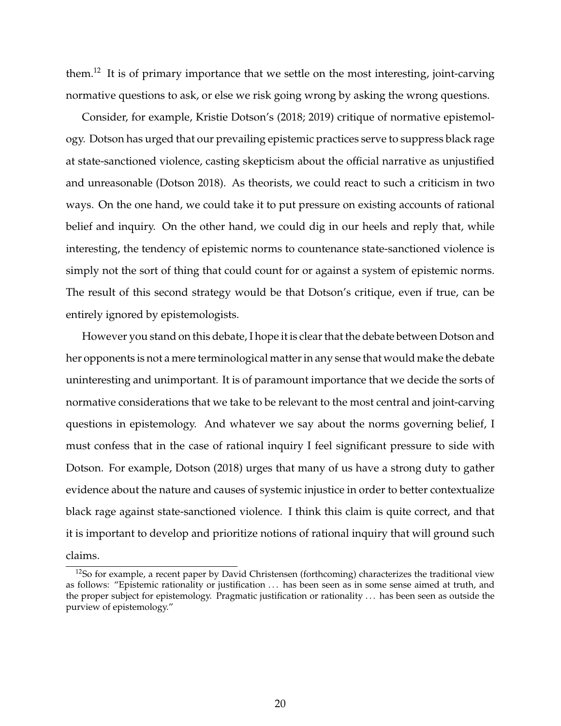them.<sup>12</sup> It is of primary importance that we settle on the most interesting, joint-carving normative questions to ask, or else we risk going wrong by asking the wrong questions.

Consider, for example, Kristie Dotson's (2018; 2019) critique of normative epistemology. Dotson has urged that our prevailing epistemic practices serve to suppress black rage at state-sanctioned violence, casting skepticism about the official narrative as unjustified and unreasonable (Dotson 2018). As theorists, we could react to such a criticism in two ways. On the one hand, we could take it to put pressure on existing accounts of rational belief and inquiry. On the other hand, we could dig in our heels and reply that, while interesting, the tendency of epistemic norms to countenance state-sanctioned violence is simply not the sort of thing that could count for or against a system of epistemic norms. The result of this second strategy would be that Dotson's critique, even if true, can be entirely ignored by epistemologists.

However you stand on this debate, I hope it is clear that the debate between Dotson and her opponents is not a mere terminological matter in any sense that would make the debate uninteresting and unimportant. It is of paramount importance that we decide the sorts of normative considerations that we take to be relevant to the most central and joint-carving questions in epistemology. And whatever we say about the norms governing belief, I must confess that in the case of rational inquiry I feel significant pressure to side with Dotson. For example, Dotson (2018) urges that many of us have a strong duty to gather evidence about the nature and causes of systemic injustice in order to better contextualize black rage against state-sanctioned violence. I think this claim is quite correct, and that it is important to develop and prioritize notions of rational inquiry that will ground such claims.

<sup>&</sup>lt;sup>12</sup>So for example, a recent paper by David Christensen (forthcoming) characterizes the traditional view as follows: "Epistemic rationality or justification ... has been seen as in some sense aimed at truth, and the proper subject for epistemology. Pragmatic justification or rationality . . . has been seen as outside the purview of epistemology."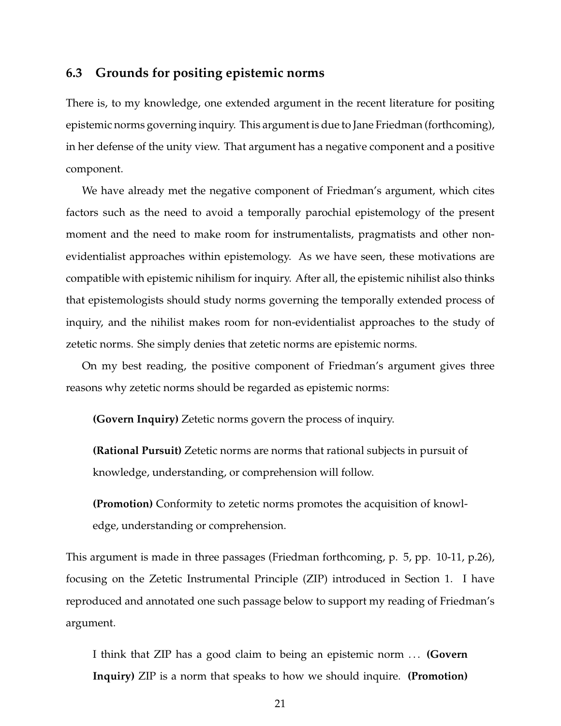#### **6.3 Grounds for positing epistemic norms**

There is, to my knowledge, one extended argument in the recent literature for positing epistemic norms governing inquiry. This argument is due to Jane Friedman (forthcoming), in her defense of the unity view. That argument has a negative component and a positive component.

We have already met the negative component of Friedman's argument, which cites factors such as the need to avoid a temporally parochial epistemology of the present moment and the need to make room for instrumentalists, pragmatists and other nonevidentialist approaches within epistemology. As we have seen, these motivations are compatible with epistemic nihilism for inquiry. After all, the epistemic nihilist also thinks that epistemologists should study norms governing the temporally extended process of inquiry, and the nihilist makes room for non-evidentialist approaches to the study of zetetic norms. She simply denies that zetetic norms are epistemic norms.

On my best reading, the positive component of Friedman's argument gives three reasons why zetetic norms should be regarded as epistemic norms:

**(Govern Inquiry)** Zetetic norms govern the process of inquiry.

**(Rational Pursuit)** Zetetic norms are norms that rational subjects in pursuit of knowledge, understanding, or comprehension will follow.

**(Promotion)** Conformity to zetetic norms promotes the acquisition of knowledge, understanding or comprehension.

This argument is made in three passages (Friedman forthcoming, p. 5, pp. 10-11, p.26), focusing on the Zetetic Instrumental Principle (ZIP) introduced in Section 1. I have reproduced and annotated one such passage below to support my reading of Friedman's argument.

I think that ZIP has a good claim to being an epistemic norm . . . **(Govern Inquiry)** ZIP is a norm that speaks to how we should inquire. **(Promotion)**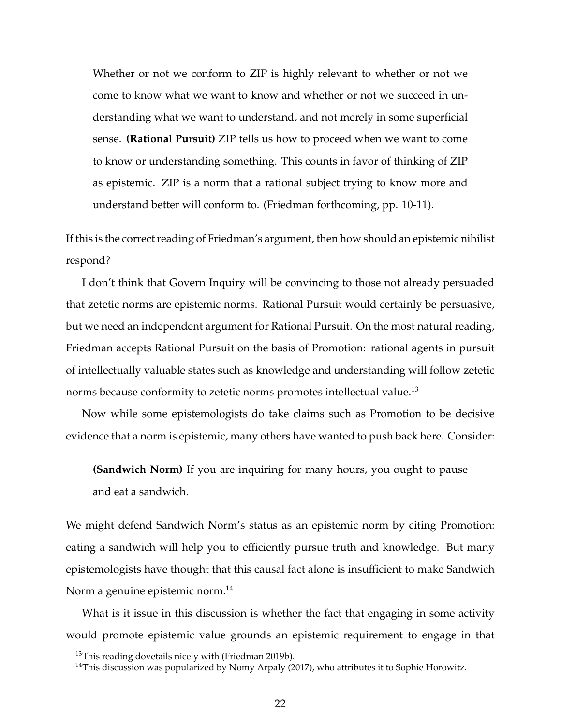Whether or not we conform to ZIP is highly relevant to whether or not we come to know what we want to know and whether or not we succeed in understanding what we want to understand, and not merely in some superficial sense. **(Rational Pursuit)** ZIP tells us how to proceed when we want to come to know or understanding something. This counts in favor of thinking of ZIP as epistemic. ZIP is a norm that a rational subject trying to know more and understand better will conform to. (Friedman forthcoming, pp. 10-11).

If this is the correct reading of Friedman's argument, then how should an epistemic nihilist respond?

I don't think that Govern Inquiry will be convincing to those not already persuaded that zetetic norms are epistemic norms. Rational Pursuit would certainly be persuasive, but we need an independent argument for Rational Pursuit. On the most natural reading, Friedman accepts Rational Pursuit on the basis of Promotion: rational agents in pursuit of intellectually valuable states such as knowledge and understanding will follow zetetic norms because conformity to zetetic norms promotes intellectual value.<sup>13</sup>

Now while some epistemologists do take claims such as Promotion to be decisive evidence that a norm is epistemic, many others have wanted to push back here. Consider:

**(Sandwich Norm)** If you are inquiring for many hours, you ought to pause and eat a sandwich.

We might defend Sandwich Norm's status as an epistemic norm by citing Promotion: eating a sandwich will help you to efficiently pursue truth and knowledge. But many epistemologists have thought that this causal fact alone is insufficient to make Sandwich Norm a genuine epistemic norm.<sup>14</sup>

What is it issue in this discussion is whether the fact that engaging in some activity would promote epistemic value grounds an epistemic requirement to engage in that

 $13$ This reading dovetails nicely with (Friedman 2019b).

 $14$ This discussion was popularized by Nomy Arpaly (2017), who attributes it to Sophie Horowitz.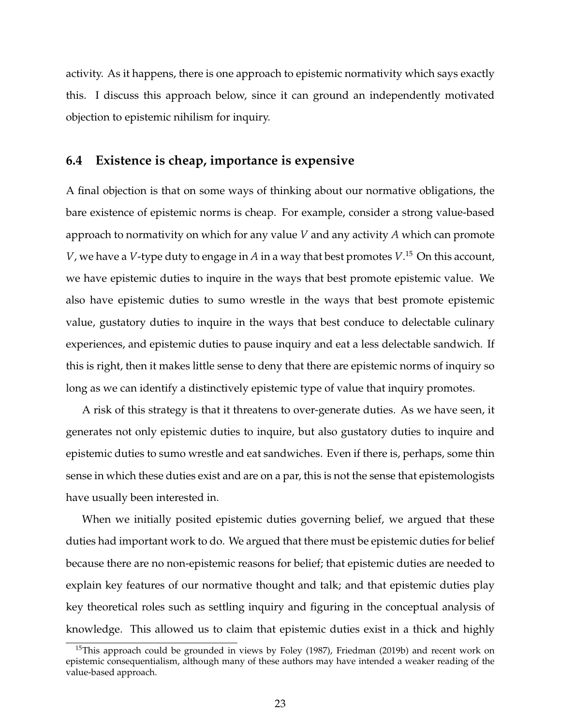activity. As it happens, there is one approach to epistemic normativity which says exactly this. I discuss this approach below, since it can ground an independently motivated objection to epistemic nihilism for inquiry.

#### **6.4 Existence is cheap, importance is expensive**

A final objection is that on some ways of thinking about our normative obligations, the bare existence of epistemic norms is cheap. For example, consider a strong value-based approach to normativity on which for any value *V* and any activity *A* which can promote *V*, we have a *V*-type duty to engage in *A* in a way that best promotes *V*. <sup>15</sup> On this account, we have epistemic duties to inquire in the ways that best promote epistemic value. We also have epistemic duties to sumo wrestle in the ways that best promote epistemic value, gustatory duties to inquire in the ways that best conduce to delectable culinary experiences, and epistemic duties to pause inquiry and eat a less delectable sandwich. If this is right, then it makes little sense to deny that there are epistemic norms of inquiry so long as we can identify a distinctively epistemic type of value that inquiry promotes.

A risk of this strategy is that it threatens to over-generate duties. As we have seen, it generates not only epistemic duties to inquire, but also gustatory duties to inquire and epistemic duties to sumo wrestle and eat sandwiches. Even if there is, perhaps, some thin sense in which these duties exist and are on a par, this is not the sense that epistemologists have usually been interested in.

When we initially posited epistemic duties governing belief, we argued that these duties had important work to do. We argued that there must be epistemic duties for belief because there are no non-epistemic reasons for belief; that epistemic duties are needed to explain key features of our normative thought and talk; and that epistemic duties play key theoretical roles such as settling inquiry and figuring in the conceptual analysis of knowledge. This allowed us to claim that epistemic duties exist in a thick and highly

 $15$ This approach could be grounded in views by Foley (1987), Friedman (2019b) and recent work on epistemic consequentialism, although many of these authors may have intended a weaker reading of the value-based approach.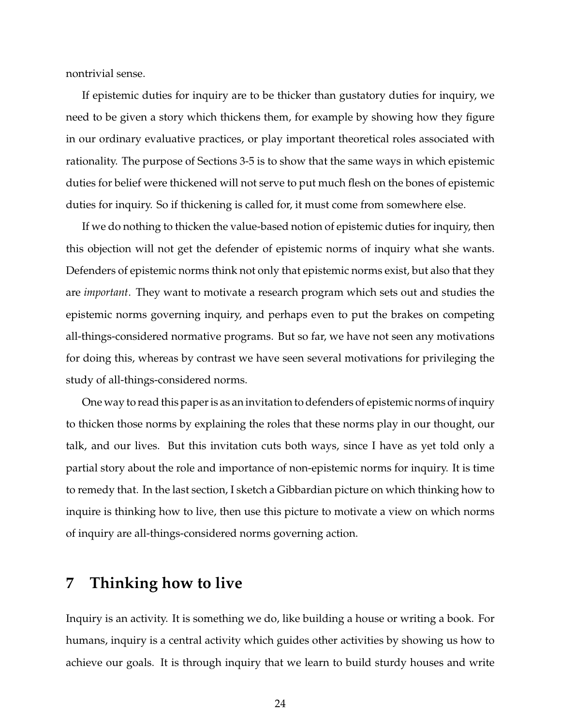nontrivial sense.

If epistemic duties for inquiry are to be thicker than gustatory duties for inquiry, we need to be given a story which thickens them, for example by showing how they figure in our ordinary evaluative practices, or play important theoretical roles associated with rationality. The purpose of Sections 3-5 is to show that the same ways in which epistemic duties for belief were thickened will not serve to put much flesh on the bones of epistemic duties for inquiry. So if thickening is called for, it must come from somewhere else.

If we do nothing to thicken the value-based notion of epistemic duties for inquiry, then this objection will not get the defender of epistemic norms of inquiry what she wants. Defenders of epistemic norms think not only that epistemic norms exist, but also that they are *important*. They want to motivate a research program which sets out and studies the epistemic norms governing inquiry, and perhaps even to put the brakes on competing all-things-considered normative programs. But so far, we have not seen any motivations for doing this, whereas by contrast we have seen several motivations for privileging the study of all-things-considered norms.

One way to read this paper is as an invitation to defenders of epistemic norms of inquiry to thicken those norms by explaining the roles that these norms play in our thought, our talk, and our lives. But this invitation cuts both ways, since I have as yet told only a partial story about the role and importance of non-epistemic norms for inquiry. It is time to remedy that. In the last section, I sketch a Gibbardian picture on which thinking how to inquire is thinking how to live, then use this picture to motivate a view on which norms of inquiry are all-things-considered norms governing action.

## **7 Thinking how to live**

Inquiry is an activity. It is something we do, like building a house or writing a book. For humans, inquiry is a central activity which guides other activities by showing us how to achieve our goals. It is through inquiry that we learn to build sturdy houses and write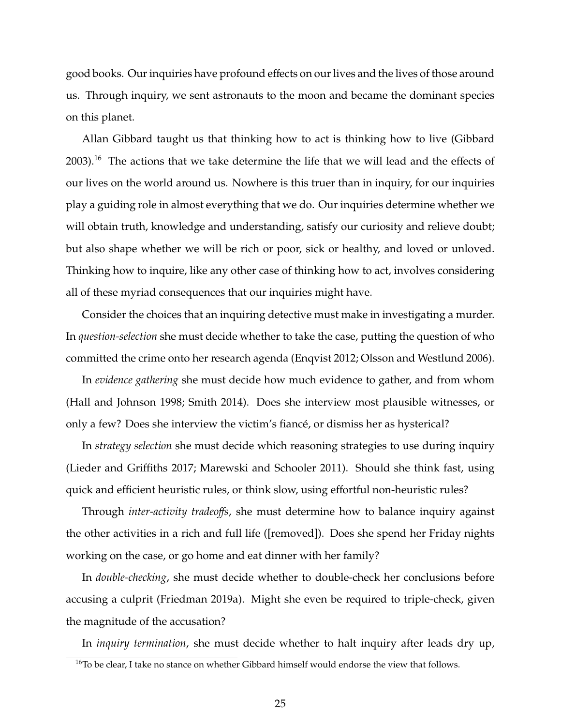good books. Our inquiries have profound effects on our lives and the lives of those around us. Through inquiry, we sent astronauts to the moon and became the dominant species on this planet.

Allan Gibbard taught us that thinking how to act is thinking how to live (Gibbard 2003).<sup>16</sup> The actions that we take determine the life that we will lead and the effects of our lives on the world around us. Nowhere is this truer than in inquiry, for our inquiries play a guiding role in almost everything that we do. Our inquiries determine whether we will obtain truth, knowledge and understanding, satisfy our curiosity and relieve doubt; but also shape whether we will be rich or poor, sick or healthy, and loved or unloved. Thinking how to inquire, like any other case of thinking how to act, involves considering all of these myriad consequences that our inquiries might have.

Consider the choices that an inquiring detective must make in investigating a murder. In *question-selection* she must decide whether to take the case, putting the question of who committed the crime onto her research agenda (Enqvist 2012; Olsson and Westlund 2006).

In *evidence gathering* she must decide how much evidence to gather, and from whom (Hall and Johnson 1998; Smith 2014). Does she interview most plausible witnesses, or only a few? Does she interview the victim's fiancé, or dismiss her as hysterical?

In *strategy selection* she must decide which reasoning strategies to use during inquiry (Lieder and Griffiths 2017; Marewski and Schooler 2011). Should she think fast, using quick and efficient heuristic rules, or think slow, using effortful non-heuristic rules?

Through *inter-activity tradeo*ff*s*, she must determine how to balance inquiry against the other activities in a rich and full life ([removed]). Does she spend her Friday nights working on the case, or go home and eat dinner with her family?

In *double-checking*, she must decide whether to double-check her conclusions before accusing a culprit (Friedman 2019a). Might she even be required to triple-check, given the magnitude of the accusation?

In *inquiry termination*, she must decide whether to halt inquiry after leads dry up,

<sup>&</sup>lt;sup>16</sup>To be clear, I take no stance on whether Gibbard himself would endorse the view that follows.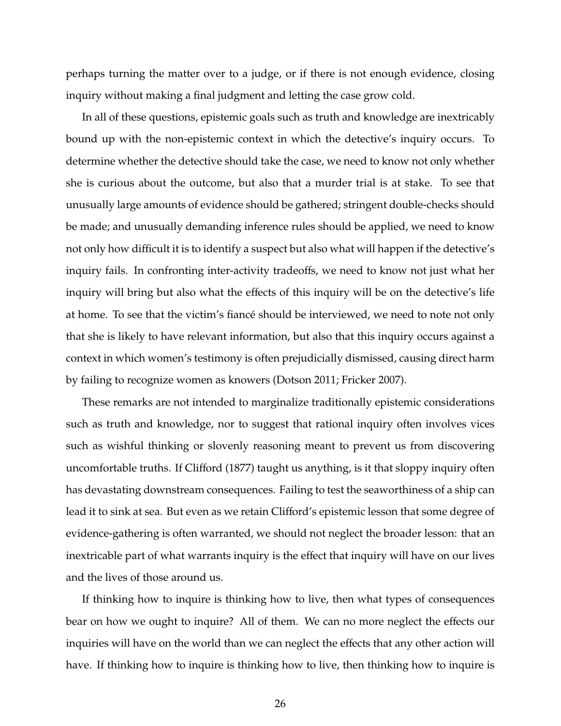perhaps turning the matter over to a judge, or if there is not enough evidence, closing inquiry without making a final judgment and letting the case grow cold.

In all of these questions, epistemic goals such as truth and knowledge are inextricably bound up with the non-epistemic context in which the detective's inquiry occurs. To determine whether the detective should take the case, we need to know not only whether she is curious about the outcome, but also that a murder trial is at stake. To see that unusually large amounts of evidence should be gathered; stringent double-checks should be made; and unusually demanding inference rules should be applied, we need to know not only how difficult it is to identify a suspect but also what will happen if the detective's inquiry fails. In confronting inter-activity tradeoffs, we need to know not just what her inquiry will bring but also what the effects of this inquiry will be on the detective's life at home. To see that the victim's fiance should be interviewed, we need to note not only that she is likely to have relevant information, but also that this inquiry occurs against a context in which women's testimony is often prejudicially dismissed, causing direct harm by failing to recognize women as knowers (Dotson 2011; Fricker 2007).

These remarks are not intended to marginalize traditionally epistemic considerations such as truth and knowledge, nor to suggest that rational inquiry often involves vices such as wishful thinking or slovenly reasoning meant to prevent us from discovering uncomfortable truths. If Clifford (1877) taught us anything, is it that sloppy inquiry often has devastating downstream consequences. Failing to test the seaworthiness of a ship can lead it to sink at sea. But even as we retain Clifford's epistemic lesson that some degree of evidence-gathering is often warranted, we should not neglect the broader lesson: that an inextricable part of what warrants inquiry is the effect that inquiry will have on our lives and the lives of those around us.

If thinking how to inquire is thinking how to live, then what types of consequences bear on how we ought to inquire? All of them. We can no more neglect the effects our inquiries will have on the world than we can neglect the effects that any other action will have. If thinking how to inquire is thinking how to live, then thinking how to inquire is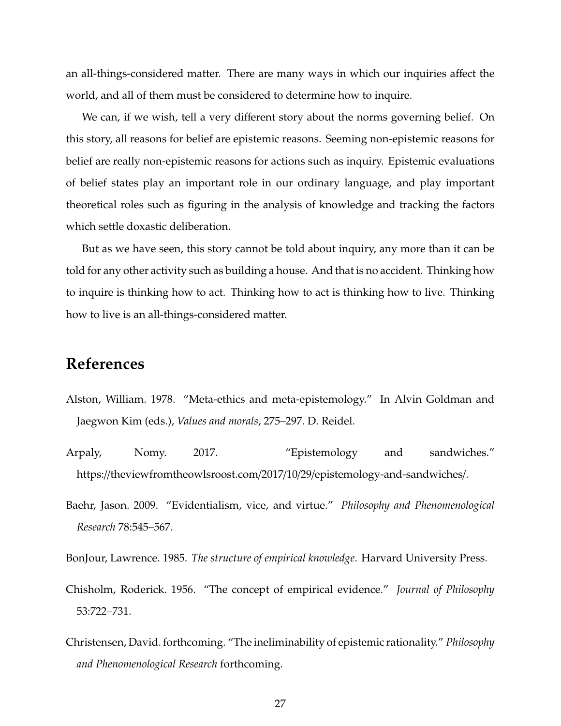an all-things-considered matter. There are many ways in which our inquiries affect the world, and all of them must be considered to determine how to inquire.

We can, if we wish, tell a very different story about the norms governing belief. On this story, all reasons for belief are epistemic reasons. Seeming non-epistemic reasons for belief are really non-epistemic reasons for actions such as inquiry. Epistemic evaluations of belief states play an important role in our ordinary language, and play important theoretical roles such as figuring in the analysis of knowledge and tracking the factors which settle doxastic deliberation.

But as we have seen, this story cannot be told about inquiry, any more than it can be told for any other activity such as building a house. And that is no accident. Thinking how to inquire is thinking how to act. Thinking how to act is thinking how to live. Thinking how to live is an all-things-considered matter.

## **References**

- Alston, William. 1978. "Meta-ethics and meta-epistemology." In Alvin Goldman and Jaegwon Kim (eds.), *Values and morals*, 275–297. D. Reidel.
- Arpaly, Nomy. 2017. "Epistemology and sandwiches." https://theviewfromtheowlsroost.com/2017/10/29/epistemology-and-sandwiches/.
- Baehr, Jason. 2009. "Evidentialism, vice, and virtue." *Philosophy and Phenomenological Research* 78:545–567.

BonJour, Lawrence. 1985. *The structure of empirical knowledge*. Harvard University Press.

- Chisholm, Roderick. 1956. "The concept of empirical evidence." *Journal of Philosophy* 53:722–731.
- Christensen, David. forthcoming. "The ineliminability of epistemic rationality." *Philosophy and Phenomenological Research* forthcoming.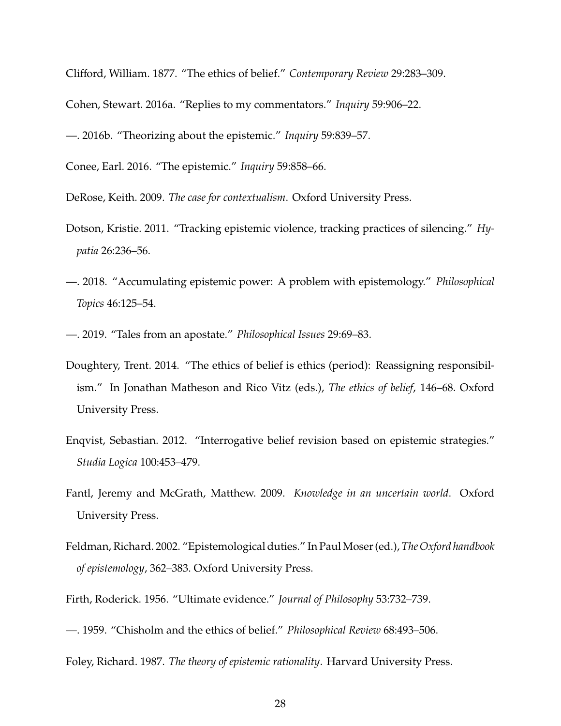Clifford, William. 1877. "The ethics of belief." *Contemporary Review* 29:283–309.

Cohen, Stewart. 2016a. "Replies to my commentators." *Inquiry* 59:906–22.

—. 2016b. "Theorizing about the epistemic." *Inquiry* 59:839–57.

Conee, Earl. 2016. "The epistemic." *Inquiry* 59:858–66.

DeRose, Keith. 2009. *The case for contextualism*. Oxford University Press.

- Dotson, Kristie. 2011. "Tracking epistemic violence, tracking practices of silencing." *Hypatia* 26:236–56.
- —. 2018. "Accumulating epistemic power: A problem with epistemology." *Philosophical Topics* 46:125–54.
- —. 2019. "Tales from an apostate." *Philosophical Issues* 29:69–83.
- Doughtery, Trent. 2014. "The ethics of belief is ethics (period): Reassigning responsibilism." In Jonathan Matheson and Rico Vitz (eds.), *The ethics of belief*, 146–68. Oxford University Press.
- Enqvist, Sebastian. 2012. "Interrogative belief revision based on epistemic strategies." *Studia Logica* 100:453–479.
- Fantl, Jeremy and McGrath, Matthew. 2009. *Knowledge in an uncertain world*. Oxford University Press.
- Feldman, Richard. 2002. "Epistemological duties." In PaulMoser (ed.), *The Oxford handbook of epistemology*, 362–383. Oxford University Press.

Firth, Roderick. 1956. "Ultimate evidence." *Journal of Philosophy* 53:732–739.

—. 1959. "Chisholm and the ethics of belief." *Philosophical Review* 68:493–506.

Foley, Richard. 1987. *The theory of epistemic rationality*. Harvard University Press.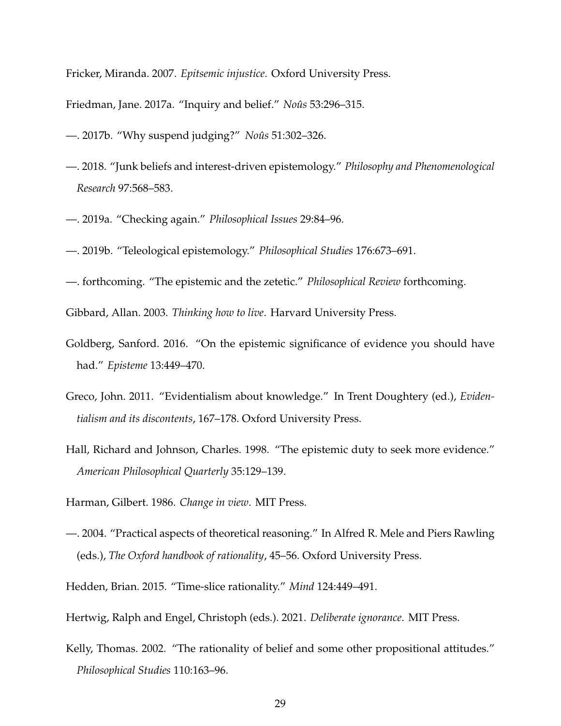Fricker, Miranda. 2007. *Epitsemic injustice*. Oxford University Press.

Friedman, Jane. 2017a. "Inquiry and belief." *Noûs* 53:296–315.

- —. 2017b. "Why suspend judging?" *Noûs* 51:302-326.
- —. 2018. "Junk beliefs and interest-driven epistemology." *Philosophy and Phenomenological Research* 97:568–583.
- —. 2019a. "Checking again." *Philosophical Issues* 29:84–96.
- —. 2019b. "Teleological epistemology." *Philosophical Studies* 176:673–691.
- —. forthcoming. "The epistemic and the zetetic." *Philosophical Review* forthcoming.

Gibbard, Allan. 2003. *Thinking how to live*. Harvard University Press.

- Goldberg, Sanford. 2016. "On the epistemic significance of evidence you should have had." *Episteme* 13:449–470.
- Greco, John. 2011. "Evidentialism about knowledge." In Trent Doughtery (ed.), *Evidentialism and its discontents*, 167–178. Oxford University Press.
- Hall, Richard and Johnson, Charles. 1998. "The epistemic duty to seek more evidence." *American Philosophical Quarterly* 35:129–139.

Harman, Gilbert. 1986. *Change in view*. MIT Press.

- —. 2004. "Practical aspects of theoretical reasoning." In Alfred R. Mele and Piers Rawling (eds.), *The Oxford handbook of rationality*, 45–56. Oxford University Press.
- Hedden, Brian. 2015. "Time-slice rationality." *Mind* 124:449–491.

Hertwig, Ralph and Engel, Christoph (eds.). 2021. *Deliberate ignorance*. MIT Press.

Kelly, Thomas. 2002. "The rationality of belief and some other propositional attitudes." *Philosophical Studies* 110:163–96.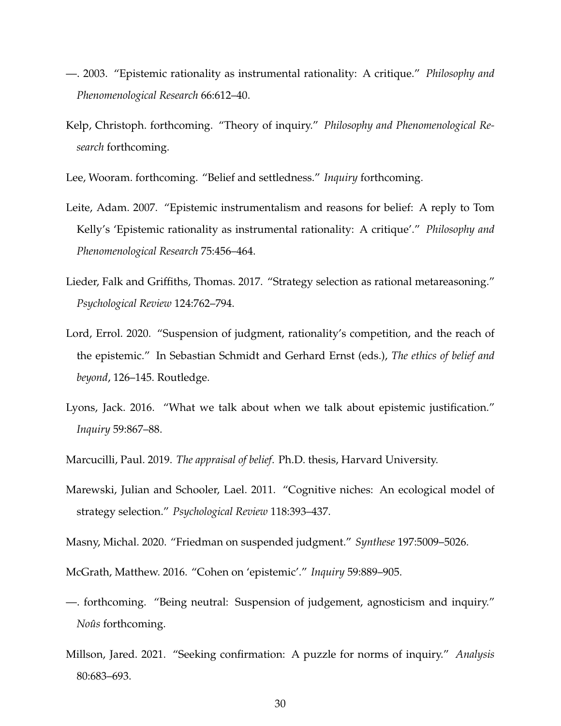- —. 2003. "Epistemic rationality as instrumental rationality: A critique." *Philosophy and Phenomenological Research* 66:612–40.
- Kelp, Christoph. forthcoming. "Theory of inquiry." *Philosophy and Phenomenological Research* forthcoming.

Lee, Wooram. forthcoming. "Belief and settledness." *Inquiry* forthcoming.

- Leite, Adam. 2007. "Epistemic instrumentalism and reasons for belief: A reply to Tom Kelly's 'Epistemic rationality as instrumental rationality: A critique'." *Philosophy and Phenomenological Research* 75:456–464.
- Lieder, Falk and Griffiths, Thomas. 2017. "Strategy selection as rational metareasoning." *Psychological Review* 124:762–794.
- Lord, Errol. 2020. "Suspension of judgment, rationality's competition, and the reach of the epistemic." In Sebastian Schmidt and Gerhard Ernst (eds.), *The ethics of belief and beyond*, 126–145. Routledge.
- Lyons, Jack. 2016. "What we talk about when we talk about epistemic justification." *Inquiry* 59:867–88.
- Marcucilli, Paul. 2019. *The appraisal of belief*. Ph.D. thesis, Harvard University.
- Marewski, Julian and Schooler, Lael. 2011. "Cognitive niches: An ecological model of strategy selection." *Psychological Review* 118:393–437.
- Masny, Michal. 2020. "Friedman on suspended judgment." *Synthese* 197:5009–5026.
- McGrath, Matthew. 2016. "Cohen on 'epistemic'." *Inquiry* 59:889–905.
- —. forthcoming. "Being neutral: Suspension of judgement, agnosticism and inquiry." *Noûs* forthcoming.
- Millson, Jared. 2021. "Seeking confirmation: A puzzle for norms of inquiry." *Analysis* 80:683–693.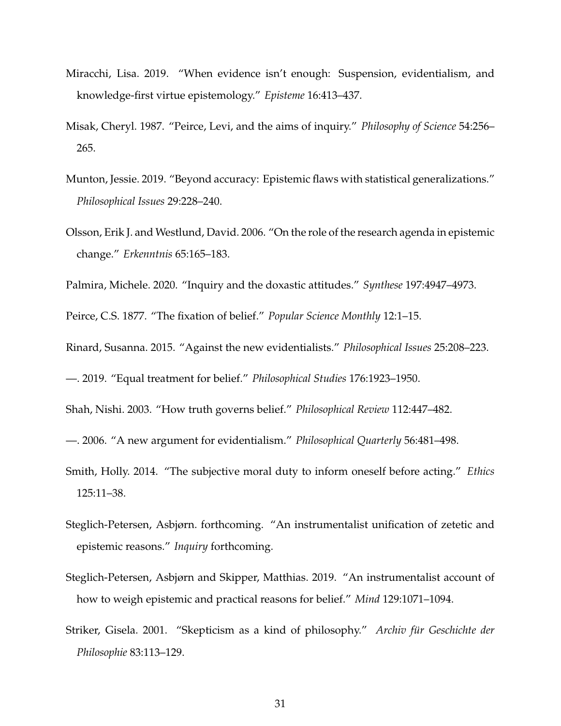- Miracchi, Lisa. 2019. "When evidence isn't enough: Suspension, evidentialism, and knowledge-first virtue epistemology." *Episteme* 16:413–437.
- Misak, Cheryl. 1987. "Peirce, Levi, and the aims of inquiry." *Philosophy of Science* 54:256– 265.
- Munton, Jessie. 2019. "Beyond accuracy: Epistemic flaws with statistical generalizations." *Philosophical Issues* 29:228–240.
- Olsson, Erik J. and Westlund, David. 2006. "On the role of the research agenda in epistemic change." *Erkenntnis* 65:165–183.

Palmira, Michele. 2020. "Inquiry and the doxastic attitudes." *Synthese* 197:4947–4973.

Peirce, C.S. 1877. "The fixation of belief." *Popular Science Monthly* 12:1–15.

Rinard, Susanna. 2015. "Against the new evidentialists." *Philosophical Issues* 25:208–223.

—. 2019. "Equal treatment for belief." *Philosophical Studies* 176:1923–1950.

Shah, Nishi. 2003. "How truth governs belief." *Philosophical Review* 112:447–482.

- —. 2006. "A new argument for evidentialism." *Philosophical Quarterly* 56:481–498.
- Smith, Holly. 2014. "The subjective moral duty to inform oneself before acting." *Ethics* 125:11–38.
- Steglich-Petersen, Asbjørn. forthcoming. "An instrumentalist unification of zetetic and epistemic reasons." *Inquiry* forthcoming.
- Steglich-Petersen, Asbjørn and Skipper, Matthias. 2019. "An instrumentalist account of how to weigh epistemic and practical reasons for belief." *Mind* 129:1071–1094.
- Striker, Gisela. 2001. "Skepticism as a kind of philosophy." *Archiv für Geschichte der Philosophie* 83:113–129.